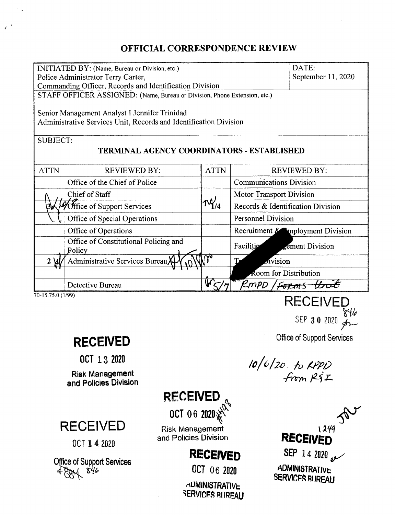## OFFICIAL CORRESPONDENCE REVIEW

| INITIATED BY: (Name, Bureau or Division, etc.)                            |                                       |             |                                   | DATE:                                |
|---------------------------------------------------------------------------|---------------------------------------|-------------|-----------------------------------|--------------------------------------|
| Police Administrator Terry Carter,                                        |                                       |             | September 11, 2020                |                                      |
| Commanding Officer, Records and Identification Division                   |                                       |             |                                   |                                      |
| STAFF OFFICER ASSIGNED: (Name, Bureau or Division, Phone Extension, etc.) |                                       |             |                                   |                                      |
|                                                                           |                                       |             |                                   |                                      |
| Senior Management Analyst I Jennifer Trinidad                             |                                       |             |                                   |                                      |
| Administrative Services Unit, Records and Identification Division         |                                       |             |                                   |                                      |
|                                                                           |                                       |             |                                   |                                      |
| <b>SUBJECT:</b>                                                           |                                       |             |                                   |                                      |
| TERMINAL AGENCY COORDINATORS - ESTABLISHED                                |                                       |             |                                   |                                      |
| <b>ATTN</b>                                                               | <b>REVIEWED BY:</b>                   | <b>ATTN</b> | <b>REVIEWED BY:</b>               |                                      |
|                                                                           | Office of the Chief of Police         |             | <b>Communications Division</b>    |                                      |
|                                                                           | Chief of Staff                        |             | <b>Motor Transport Division</b>   |                                      |
| 30                                                                        | Office of Support Services            |             | Records & Identification Division |                                      |
|                                                                           | Office of Special Operations          |             | <b>Personnel Division</b>         |                                      |
|                                                                           | Office of Operations                  |             |                                   | Recruitment $\&$ imployment Division |
|                                                                           | Office of Constitutional Policing and |             | Facilitie                         | sement Division                      |
|                                                                           | Policy                                |             |                                   |                                      |
| $2 \cancel{w}$                                                            | Administrative Services Bureau        |             | $\omega$ ivision<br>т,            |                                      |
|                                                                           |                                       |             | Room for Distribution             |                                      |
|                                                                           | Detective Bureau                      |             | RMPD / <del>Forms</del>           |                                      |
|                                                                           |                                       |             |                                   |                                      |
| 70-15.75.0 (1/99)<br><b>RECEIVED</b>                                      |                                       |             |                                   |                                      |

 $\mathcal{O}_{\mathcal{A}}$ 

 $\mathbb{R}^{\frac{1}{3}}$ 

OCT 13 2020

Risk Management and Policies Division

RECEIVED

OCT 142020

Office of Support Services *~ tl(f,*

**RECEIVED** 

OCT 06 2020 $\chi^2$ 

**Risk Management** and Policies Division

# **RECEIVED**

OCT 06 <sup>2020</sup>

**ADMINISTRATIVE** SERVICES RUREAU

Office of Support Services **RECEIVED**

 $\circ$ er  $\circ$  U zuzu  $_{\rm d}$ 

*~«-{/p*

*/0/6/20. 10 ;(.~p/.)* .m-m *f2-~';::\_*

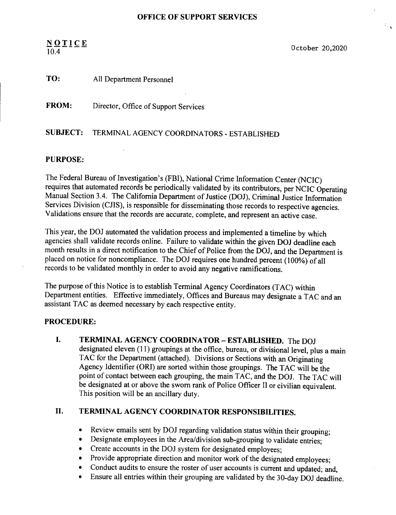#### $N_{\text{O}}$   $I$   $I$   $C$   $E$   $O$  ctober 20,2020 10.4

 $\mathbb{R}_{\geq 0}$ 

#### TO: All Department Personnel

FROM: Director, Office of Support Services

#### SUBJECT: TERMINAL AGENCY COORDINATORS - ESTABLISHED

#### PURPOSE:

The Federal Bureau of Investigation's (FBI), National Crime Information Center (NCIC) requires that automated records be periodically validated by its contributors, per NCIC Operating Manual Section 3.4. The California Department of Justice (DOJ), Criminal Justice Information Services Division (CJIS), is responsible for disseminating those records to respective agencies. Validations ensure that the records are accurate, complete, and represent an active case.

This year, the DOl automated the validation process and implemented a timeline by which agencies shall validate records online. Failure to validate within the given DOJ deadline each month results in a direct notification to the Chief of Police from the DOJ, and the Department is placed on notice for noncompliance. The DOJ requires one hundred percent (100%) of all records to be validated monthly in order to avoid any negative ramifications.

The purpose of this Notice is to establish Terminal Agency Coordinators(TAC) within Department entities. Effective immediately, Offices and Bureaus may designate a TAC and an assistant TAC as deemed necessary by each respective entity.

#### PROCEDURE:

I. TERMINAL AGENCY COORDINATOR - ESTABLISHED. The DOJ designated eleven (11) groupings at the office, bureau, or divisional level, plus a main TAC for the Department (attached). Divisions or Sections with an Originating Agency Identifier (ORl) are sorted within those groupings. The TAC will be the point of contact between each grouping, the main TAC, and the DOJ. The TAC will be designated at or above the sworn rank of Police Officer II or civilian equivalent. This position will be an ancillary duty.

### II. TERMINAL AGENCY COORDINATOR RESPONSIBILITIES.

- Review emails sent by DOJ regarding validation status within their grouping;
- Designate employees in the Area/division sub-grouping to validate entries;
- Create accounts in the DOJ system for designated employees;
- Provide appropriate direction and monitor work of the designated employees;
- Conduct audits to ensure the roster of user accounts is current and updated; and,
- Ensure all entries within their grouping are validated by the 30-day DOJ deadline.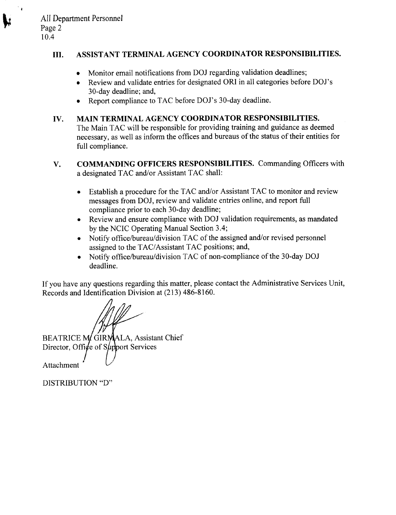$\ddot{\phantom{0}}$ 

#### **III. ASSIST ANT TERMINAL AGENCY COORDINATOR RESPONSIBILITIES.**

- Monitor email notifications from DOJ regarding validation deadlines;
- Review and validate entries for designated ORI in all categories before *DOl's* 30-day deadline; and,
- Report compliance to TAC before DOJ's 30-day deadline.

### **IV. MAIN TERMINAL AGENCY COORDINATOR RESPONSIBILITIES.** The Main TAC will be responsible for providing training and guidance as deemed necessary, as well as inform the offices and bureaus of the status of their entities for full compliance.

- **V. COMMANDING OFFICERS RESPONSIBILITIES.** Commanding Officers with a designated TAC and/or Assistant TAC shall:
	- Establish a procedure for the TAC and/or Assistant TAC to monitor and review messages from *DOl,* review and validate entries online, and report full compliance prior to each 30-day deadline;
	- Review and ensure compliance with *DOl* validation requirements, as mandated by the NCIC Operating Manual Section 3.4;
	- Notify office/bureau/division TAC of the assigned and/or revised personnel assigned to the TAC/Assistant TAC positions; and,
	- Notify officelbureauldivision TAC of non-compliance of the 30-day *DOl* deadline.

If you have any questions regarding this matter, please contact the Administrative Services Unit, Records and Identification Division at (213) 486-8160.

BEATRICE M GIRMALA, Assistant Chief Director, Office of Support Services

**Attachment** 

DISTRIBUTION "D"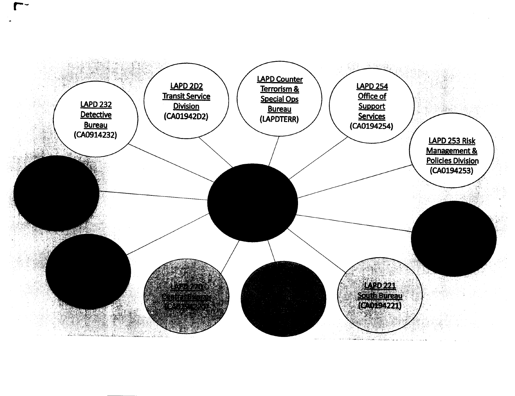

r-